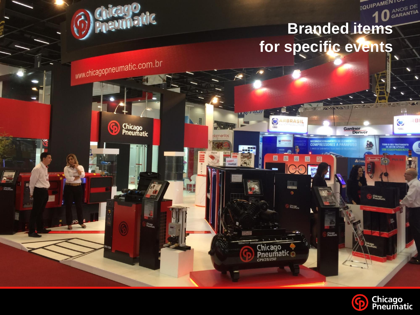

Gardner<br>Denver

**DDD O SEU TRATAME** 



COMPRESSOL

 $\bullet$ 

Chicago<br>Pneumatic

plamentos

تيم د

ARBRASIL

Chicago

γ

Chicago<br>Princinal



 $\overline{\mathbf{r}}$ Chicago<br>Poeunu Chicago<br>Pneumatic

Chicago

dicty)



Chicago<br>Pheumati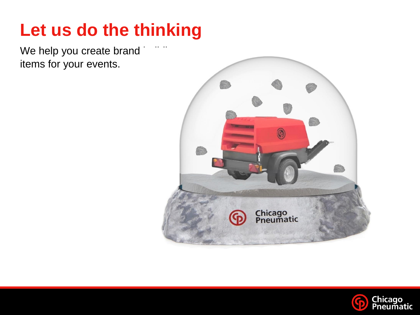# **Let us do the thinking**

We help you create brand items for your events.



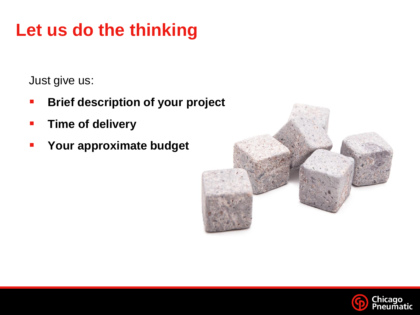### **Let us do the thinking**

Just give us:

- **Brief description of your project**
- **Time of delivery**
- Your approximate budget



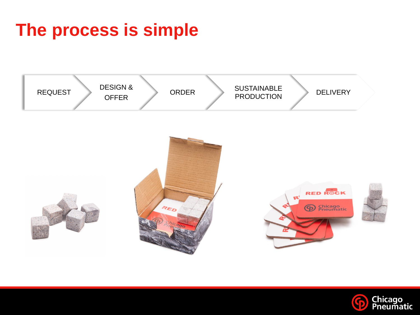### **The process is simple**



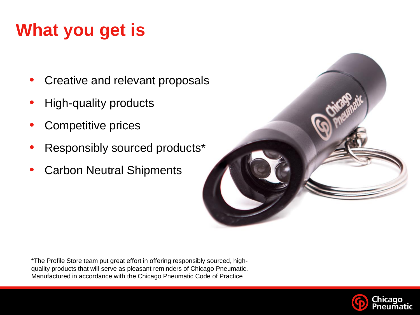## **What you get is**

- Creative and relevant proposals
- High-quality products
- Competitive prices
- Responsibly sourced products\*
- Carbon Neutral Shipments



\*The Profile Store team put great effort in offering responsibly sourced, highquality products that will serve as pleasant reminders of Chicago Pneumatic. Manufactured in accordance with the Chicago Pneumatic Code of Practice

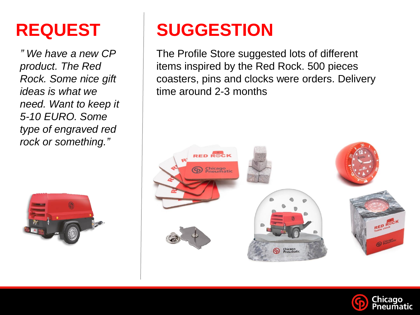*" We have a new CP product. The Red Rock. Some nice gift ideas is what we need. Want to keep it 5-10 EURO. Some type of engraved red rock or something."*



# **REQUEST SUGGESTION**

The Profile Store suggested lots of different items inspired by the Red Rock. 500 pieces coasters, pins and clocks were orders. Delivery time around 2-3 months



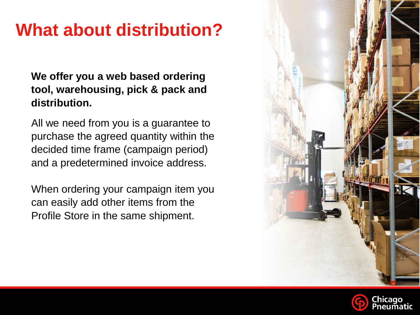### **What about distribution?**

### **We offer you a web based ordering tool, warehousing, pick & pack and distribution.**

All we need from you is a guarantee to purchase the agreed quantity within the decided time frame (campaign period) and a predetermined invoice address.

When ordering your campaign item you can easily add other items from the Profile Store in the same shipment.



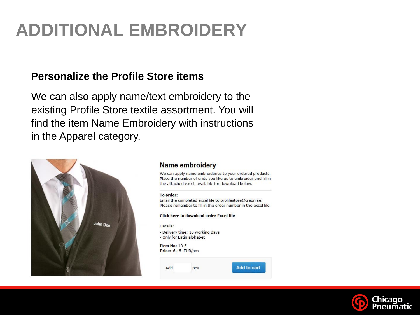## **ADDITIONAL EMBROIDERY**

### **Personalize the Profile Store items**

We can also apply name/text embroidery to the existing Profile Store textile assortment. You will find the item Name Embroidery with instructions in the Apparel category.



### **Name embroidery**

We can apply name embroideries to your ordered products. Place the number of units you like us to embroider and fill in the attached excel, available for download below.

### **To order:**

Email the completed excel file to profilestore@creon.se. Please remember to fill in the order number in the excel file.

### **Click here to download order Excel file**

Details:

- Delivery time: 10 working days - Only for Latin alphabet

**Item No: 13-5** Price: 6,15 EUR/pcs

> Add pcs

**Add to cart**